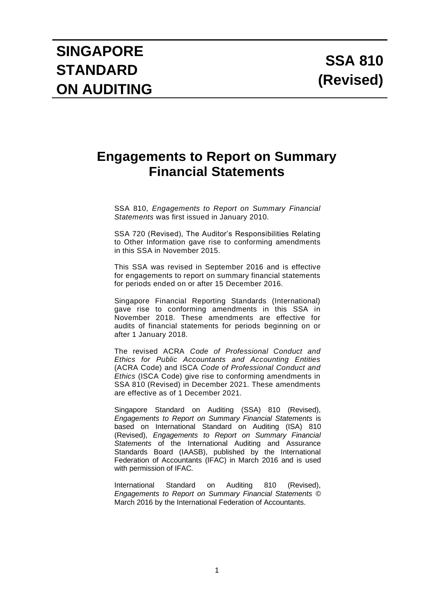# **Engagements to Report on Summary Financial Statements**

SSA 810, *Engagements to Report on Summary Financial Statements* was first issued in January 2010.

SSA 720 (Revised), The Auditor's Responsibilities Relating to Other Information gave rise to conforming amendments in this SSA in November 2015.

This SSA was revised in September 2016 and is effective for engagements to report on summary financial statements for periods ended on or after 15 December 2016.

Singapore Financial Reporting Standards (International) gave rise to conforming amendments in this SSA in November 2018. These amendments are effective for audits of financial statements for periods beginning on or after 1 January 2018.

The revised ACRA *Code of Professional Conduct and Ethics for Public Accountants and Accounting Entities* (ACRA Code) and ISCA *Code of Professional Conduct and Ethics* (ISCA Code) give rise to conforming amendments in SSA 810 (Revised) in December 2021. These amendments are effective as of 1 December 2021.

Singapore Standard on Auditing (SSA) 810 (Revised), *Engagements to Report on Summary Financial Statements* is based on International Standard on Auditing (ISA) 810 (Revised), *Engagements to Report on Summary Financial Statements* of the International Auditing and Assurance Standards Board (IAASB), published by the International Federation of Accountants (IFAC) in March 2016 and is used with permission of IFAC.

International Standard on Auditing 810 (Revised), *Engagements to Report on Summary Financial Statements* © March 2016 by the International Federation of Accountants.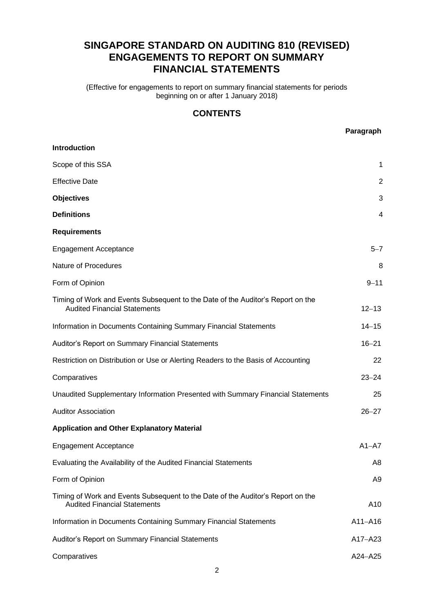# **SINGAPORE STANDARD ON AUDITING 810 (REVISED) ENGAGEMENTS TO REPORT ON SUMMARY FINANCIAL STATEMENTS**

(Effective for engagements to report on summary financial statements for periods beginning on or after 1 January 2018)

# **CONTENTS**

#### **Paragraph**

| <b>Introduction</b>                                                                                                    |                |
|------------------------------------------------------------------------------------------------------------------------|----------------|
| Scope of this SSA                                                                                                      | 1              |
| <b>Effective Date</b>                                                                                                  | $\overline{2}$ |
| <b>Objectives</b>                                                                                                      | 3              |
| <b>Definitions</b>                                                                                                     | $\overline{4}$ |
| <b>Requirements</b>                                                                                                    |                |
| <b>Engagement Acceptance</b>                                                                                           | $5 - 7$        |
| Nature of Procedures                                                                                                   | 8              |
| Form of Opinion                                                                                                        | $9 - 11$       |
| Timing of Work and Events Subsequent to the Date of the Auditor's Report on the<br><b>Audited Financial Statements</b> | $12 - 13$      |
| Information in Documents Containing Summary Financial Statements                                                       | $14 - 15$      |
| Auditor's Report on Summary Financial Statements                                                                       | $16 - 21$      |
| Restriction on Distribution or Use or Alerting Readers to the Basis of Accounting                                      | 22             |
| Comparatives                                                                                                           | $23 - 24$      |
| Unaudited Supplementary Information Presented with Summary Financial Statements                                        | 25             |
| <b>Auditor Association</b>                                                                                             | $26 - 27$      |
| <b>Application and Other Explanatory Material</b>                                                                      |                |
| <b>Engagement Acceptance</b>                                                                                           | $A1 - A7$      |
| Evaluating the Availability of the Audited Financial Statements                                                        | A8             |
| Form of Opinion                                                                                                        | A9             |
| Timing of Work and Events Subsequent to the Date of the Auditor's Report on the<br><b>Audited Financial Statements</b> | A10            |
| Information in Documents Containing Summary Financial Statements                                                       | $A11 - A16$    |
| Auditor's Report on Summary Financial Statements                                                                       | $A17 - A23$    |
| Comparatives                                                                                                           | A24-A25        |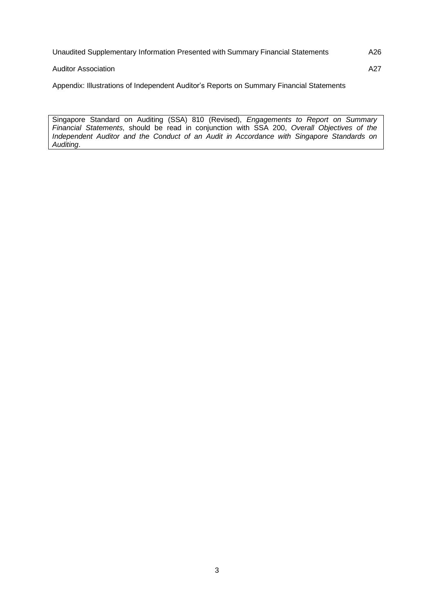Unaudited Supplementary Information Presented with Summary Financial Statements A26

Auditor Association **A27** 

Appendix: Illustrations of Independent Auditor's Reports on Summary Financial Statements

Singapore Standard on Auditing (SSA) 810 (Revised), *Engagements to Report on Summary Financial Statements*, should be read in conjunction with SSA 200, *Overall Objectives of the Independent Auditor and the Conduct of an Audit in Accordance with Singapore Standards on Auditing*.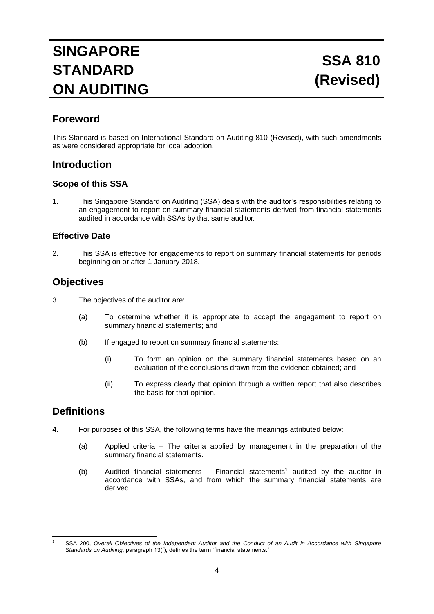# **SINGAPORE STANDARD ON AUDITING**

# **Foreword**

This Standard is based on International Standard on Auditing 810 (Revised), with such amendments as were considered appropriate for local adoption.

# **Introduction**

# **Scope of this SSA**

1. This Singapore Standard on Auditing (SSA) deals with the auditor's responsibilities relating to an engagement to report on summary financial statements derived from financial statements audited in accordance with SSAs by that same auditor.

# **Effective Date**

2. This SSA is effective for engagements to report on summary financial statements for periods beginning on or after 1 January 2018.

# **Objectives**

- 3. The objectives of the auditor are:
	- (a) To determine whether it is appropriate to accept the engagement to report on summary financial statements; and
	- (b) If engaged to report on summary financial statements:
		- (i) To form an opinion on the summary financial statements based on an evaluation of the conclusions drawn from the evidence obtained; and
		- (ii) To express clearly that opinion through a written report that also describes the basis for that opinion.

# **Definitions**

- 4. For purposes of this SSA, the following terms have the meanings attributed below:
	- (a) Applied criteria The criteria applied by management in the preparation of the summary financial statements.
	- (b) Audited financial statements  $-$  Financial statements<sup>1</sup> audited by the auditor in accordance with SSAs, and from which the summary financial statements are derived.

<sup>1</sup> SSA 200, *Overall Objectives of the Independent Auditor and the Conduct of an Audit in Accordance with Singapore Standards on Auditing*, paragraph 13(f), defines the term "financial statements."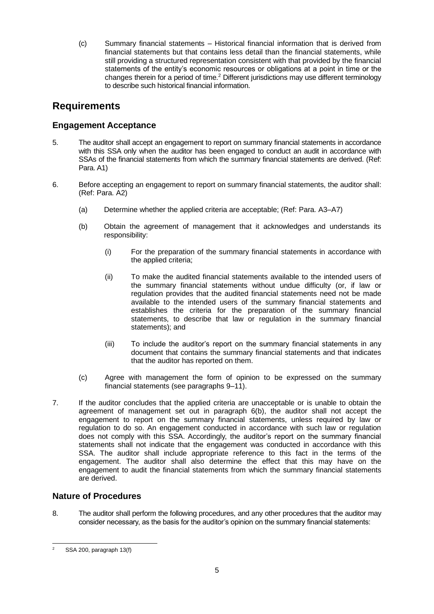(c) Summary financial statements – Historical financial information that is derived from financial statements but that contains less detail than the financial statements, while still providing a structured representation consistent with that provided by the financial statements of the entity's economic resources or obligations at a point in time or the changes therein for a period of time.<sup>2</sup> Different jurisdictions may use different terminology to describe such historical financial information.

# **Requirements**

# **Engagement Acceptance**

- 5. The auditor shall accept an engagement to report on summary financial statements in accordance with this SSA only when the auditor has been engaged to conduct an audit in accordance with SSAs of the financial statements from which the summary financial statements are derived. (Ref: Para. A1)
- 6. Before accepting an engagement to report on summary financial statements, the auditor shall: (Ref: Para. A2)
	- (a) Determine whether the applied criteria are acceptable; (Ref: Para. A3–A7)
	- (b) Obtain the agreement of management that it acknowledges and understands its responsibility:
		- (i) For the preparation of the summary financial statements in accordance with the applied criteria;
		- (ii) To make the audited financial statements available to the intended users of the summary financial statements without undue difficulty (or, if law or regulation provides that the audited financial statements need not be made available to the intended users of the summary financial statements and establishes the criteria for the preparation of the summary financial statements, to describe that law or regulation in the summary financial statements); and
		- (iii) To include the auditor's report on the summary financial statements in any document that contains the summary financial statements and that indicates that the auditor has reported on them.
	- (c) Agree with management the form of opinion to be expressed on the summary financial statements (see paragraphs 9–11).
- 7. If the auditor concludes that the applied criteria are unacceptable or is unable to obtain the agreement of management set out in paragraph 6(b), the auditor shall not accept the engagement to report on the summary financial statements, unless required by law or regulation to do so. An engagement conducted in accordance with such law or regulation does not comply with this SSA. Accordingly, the auditor's report on the summary financial statements shall not indicate that the engagement was conducted in accordance with this SSA. The auditor shall include appropriate reference to this fact in the terms of the engagement. The auditor shall also determine the effect that this may have on the engagement to audit the financial statements from which the summary financial statements are derived.

# **Nature of Procedures**

8. The auditor shall perform the following procedures, and any other procedures that the auditor may consider necessary, as the basis for the auditor's opinion on the summary financial statements:

SSA 200, paragraph 13(f)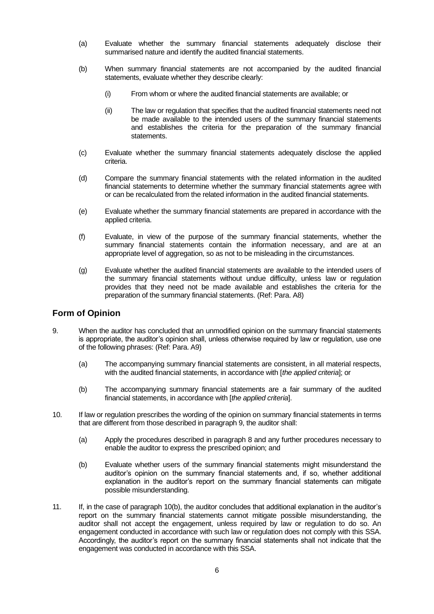- (a) Evaluate whether the summary financial statements adequately disclose their summarised nature and identify the audited financial statements.
- (b) When summary financial statements are not accompanied by the audited financial statements, evaluate whether they describe clearly:
	- (i) From whom or where the audited financial statements are available; or
	- (ii) The law or regulation that specifies that the audited financial statements need not be made available to the intended users of the summary financial statements and establishes the criteria for the preparation of the summary financial statements.
- (c) Evaluate whether the summary financial statements adequately disclose the applied criteria.
- (d) Compare the summary financial statements with the related information in the audited financial statements to determine whether the summary financial statements agree with or can be recalculated from the related information in the audited financial statements.
- (e) Evaluate whether the summary financial statements are prepared in accordance with the applied criteria.
- (f) Evaluate, in view of the purpose of the summary financial statements, whether the summary financial statements contain the information necessary, and are at an appropriate level of aggregation, so as not to be misleading in the circumstances.
- (g) Evaluate whether the audited financial statements are available to the intended users of the summary financial statements without undue difficulty, unless law or regulation provides that they need not be made available and establishes the criteria for the preparation of the summary financial statements. (Ref: Para. A8)

### **Form of Opinion**

- 9. When the auditor has concluded that an unmodified opinion on the summary financial statements is appropriate, the auditor's opinion shall, unless otherwise required by law or regulation, use one of the following phrases: (Ref: Para. A9)
	- (a) The accompanying summary financial statements are consistent, in all material respects, with the audited financial statements, in accordance with [*the applied criteria*]; or
	- (b) The accompanying summary financial statements are a fair summary of the audited financial statements, in accordance with [*the applied criteria*].
- 10. If law or regulation prescribes the wording of the opinion on summary financial statements in terms that are different from those described in paragraph 9, the auditor shall:
	- (a) Apply the procedures described in paragraph 8 and any further procedures necessary to enable the auditor to express the prescribed opinion; and
	- (b) Evaluate whether users of the summary financial statements might misunderstand the auditor's opinion on the summary financial statements and, if so, whether additional explanation in the auditor's report on the summary financial statements can mitigate possible misunderstanding.
- 11. If, in the case of paragraph 10(b), the auditor concludes that additional explanation in the auditor's report on the summary financial statements cannot mitigate possible misunderstanding, the auditor shall not accept the engagement, unless required by law or regulation to do so. An engagement conducted in accordance with such law or regulation does not comply with this SSA. Accordingly, the auditor's report on the summary financial statements shall not indicate that the engagement was conducted in accordance with this SSA.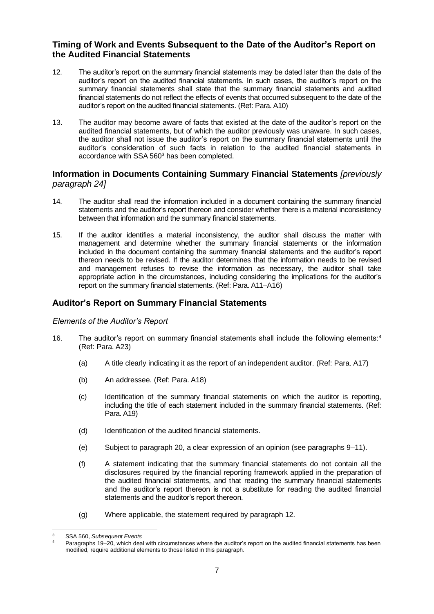# **Timing of Work and Events Subsequent to the Date of the Auditor's Report on the Audited Financial Statements**

- 12. The auditor's report on the summary financial statements may be dated later than the date of the auditor's report on the audited financial statements. In such cases, the auditor's report on the summary financial statements shall state that the summary financial statements and audited financial statements do not reflect the effects of events that occurred subsequent to the date of the auditor's report on the audited financial statements. (Ref: Para. A10)
- 13. The auditor may become aware of facts that existed at the date of the auditor's report on the audited financial statements, but of which the auditor previously was unaware. In such cases, the auditor shall not issue the auditor's report on the summary financial statements until the auditor's consideration of such facts in relation to the audited financial statements in accordance with SSA 560<sup>3</sup> has been completed.

# **Information in Documents Containing Summary Financial Statements** *[previously paragraph 24]*

- 14. The auditor shall read the information included in a document containing the summary financial statements and the auditor's report thereon and consider whether there is a material inconsistency between that information and the summary financial statements.
- 15. If the auditor identifies a material inconsistency, the auditor shall discuss the matter with management and determine whether the summary financial statements or the information included in the document containing the summary financial statements and the auditor's report thereon needs to be revised. If the auditor determines that the information needs to be revised and management refuses to revise the information as necessary, the auditor shall take appropriate action in the circumstances, including considering the implications for the auditor's report on the summary financial statements. (Ref: Para. A11–A16)

# **Auditor's Report on Summary Financial Statements**

#### *Elements of the Auditor's Report*

- 16. The auditor's report on summary financial statements shall include the following elements:<sup>4</sup> (Ref: Para. A23)
	- (a) A title clearly indicating it as the report of an independent auditor. (Ref: Para. A17)
	- (b) An addressee. (Ref: Para. A18)
	- (c) Identification of the summary financial statements on which the auditor is reporting, including the title of each statement included in the summary financial statements. (Ref: Para. A19)
	- (d) Identification of the audited financial statements.
	- (e) Subject to paragraph 20, a clear expression of an opinion (see paragraphs 9–11).
	- (f) A statement indicating that the summary financial statements do not contain all the disclosures required by the financial reporting framework applied in the preparation of the audited financial statements, and that reading the summary financial statements and the auditor's report thereon is not a substitute for reading the audited financial statements and the auditor's report thereon.
	- (g) Where applicable, the statement required by paragraph 12.

<sup>3</sup> SSA 560, *Subsequent Events*

Paragraphs 19–20, which deal with circumstances where the auditor's report on the audited financial statements has been modified, require additional elements to those listed in this paragraph.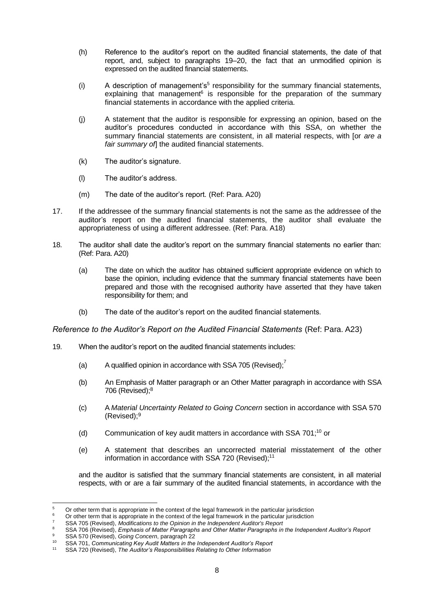- (h) Reference to the auditor's report on the audited financial statements, the date of that report, and, subject to paragraphs 19–20, the fact that an unmodified opinion is expressed on the audited financial statements.
- $(i)$  A description of management's<sup>5</sup> responsibility for the summary financial statements, explaining that management<sup>6</sup> is responsible for the preparation of the summary financial statements in accordance with the applied criteria.
- (j) A statement that the auditor is responsible for expressing an opinion, based on the auditor's procedures conducted in accordance with this SSA, on whether the summary financial statements are consistent, in all material respects, with [or *are a fair summary of*] the audited financial statements.
- (k) The auditor's signature.
- (l) The auditor's address.
- (m) The date of the auditor's report. (Ref: Para. A20)
- 17. If the addressee of the summary financial statements is not the same as the addressee of the auditor's report on the audited financial statements, the auditor shall evaluate the appropriateness of using a different addressee. (Ref: Para. A18)
- 18. The auditor shall date the auditor's report on the summary financial statements no earlier than: (Ref: Para. A20)
	- (a) The date on which the auditor has obtained sufficient appropriate evidence on which to base the opinion, including evidence that the summary financial statements have been prepared and those with the recognised authority have asserted that they have taken responsibility for them; and
	- (b) The date of the auditor's report on the audited financial statements.

#### *Reference to the Auditor's Report on the Audited Financial Statements* (Ref: Para. A23)

- 19. When the auditor's report on the audited financial statements includes:
	- (a) A qualified opinion in accordance with SSA 705 (Revised);<sup>7</sup>
	- (b) An Emphasis of Matter paragraph or an Other Matter paragraph in accordance with SSA 706 (Revised);<sup>8</sup>
	- (c) A *Material Uncertainty Related to Going Concern* section in accordance with SSA 570 (Revised);<sup>9</sup>
	- (d) Communication of key audit matters in accordance with SSA 701;<sup>10</sup> or
	- (e) A statement that describes an uncorrected material misstatement of the other information in accordance with SSA 720 (Revised);<sup>11</sup>

and the auditor is satisfied that the summary financial statements are consistent, in all material respects, with or are a fair summary of the audited financial statements, in accordance with the

 $5$  Or other term that is appropriate in the context of the legal framework in the particular jurisdiction

<sup>&</sup>lt;sup>6</sup> Or other term that is appropriate in the context of the legal framework in the particular jurisdiction

<sup>7</sup> SSA 705 (Revised), *Modifications to the Opinion in the Independent Auditor's Report*

<sup>8</sup> SSA 706 (Revised), *Emphasis of Matter Paragraphs and Other Matter Paragraphs in the Independent Auditor's Report* <sup>9</sup> SSA 570 (Revised), *Going Concern*, paragraph 22

<sup>10</sup> SSA 701, *Communicating Key Audit Matters in the Independent Auditor's Report*

<sup>11</sup> SSA 720 (Revised), *The Auditor's Responsibilities Relating to Other Information*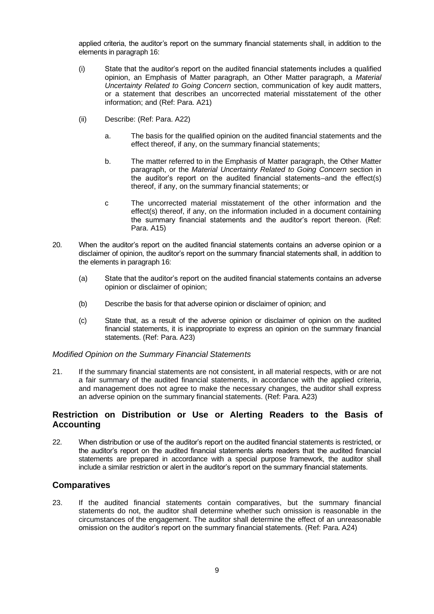applied criteria, the auditor's report on the summary financial statements shall, in addition to the elements in paragraph 16:

- (i) State that the auditor's report on the audited financial statements includes a qualified opinion, an Emphasis of Matter paragraph, an Other Matter paragraph, a *Material Uncertainty Related to Going Concern* section, communication of key audit matters, or a statement that describes an uncorrected material misstatement of the other information; and (Ref: Para. A21)
- (ii) Describe: (Ref: Para. A22)
	- a. The basis for the qualified opinion on the audited financial statements and the effect thereof, if any, on the summary financial statements;
	- b. The matter referred to in the Emphasis of Matter paragraph, the Other Matter paragraph, or the *Material Uncertainty Related to Going Concern* section in the auditor's report on the audited financial statements—and the effect(s) thereof, if any, on the summary financial statements; or
	- c The uncorrected material misstatement of the other information and the effect(s) thereof, if any, on the information included in a document containing the summary financial statements and the auditor's report thereon. (Ref: Para. A15)
- 20. When the auditor's report on the audited financial statements contains an adverse opinion or a disclaimer of opinion, the auditor's report on the summary financial statements shall, in addition to the elements in paragraph 16:
	- (a) State that the auditor's report on the audited financial statements contains an adverse opinion or disclaimer of opinion;
	- (b) Describe the basis for that adverse opinion or disclaimer of opinion; and
	- (c) State that, as a result of the adverse opinion or disclaimer of opinion on the audited financial statements, it is inappropriate to express an opinion on the summary financial statements. (Ref: Para. A23)

#### *Modified Opinion on the Summary Financial Statements*

21. If the summary financial statements are not consistent, in all material respects, with or are not a fair summary of the audited financial statements, in accordance with the applied criteria, and management does not agree to make the necessary changes, the auditor shall express an adverse opinion on the summary financial statements. (Ref: Para. A23)

### **Restriction on Distribution or Use or Alerting Readers to the Basis of Accounting**

22. When distribution or use of the auditor's report on the audited financial statements is restricted, or the auditor's report on the audited financial statements alerts readers that the audited financial statements are prepared in accordance with a special purpose framework, the auditor shall include a similar restriction or alert in the auditor's report on the summary financial statements.

### **Comparatives**

23. If the audited financial statements contain comparatives, but the summary financial statements do not, the auditor shall determine whether such omission is reasonable in the circumstances of the engagement. The auditor shall determine the effect of an unreasonable omission on the auditor's report on the summary financial statements. (Ref: Para. A24)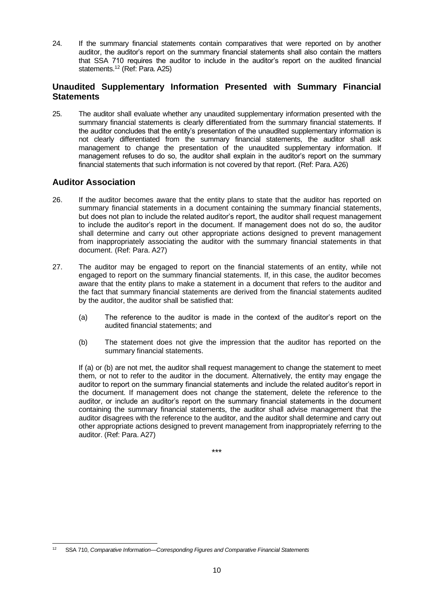24. If the summary financial statements contain comparatives that were reported on by another auditor, the auditor's report on the summary financial statements shall also contain the matters that SSA 710 requires the auditor to include in the auditor's report on the audited financial statements.<sup>12</sup> (Ref: Para. A25)

# **Unaudited Supplementary Information Presented with Summary Financial Statements**

25. The auditor shall evaluate whether any unaudited supplementary information presented with the summary financial statements is clearly differentiated from the summary financial statements. If the auditor concludes that the entity's presentation of the unaudited supplementary information is not clearly differentiated from the summary financial statements, the auditor shall ask management to change the presentation of the unaudited supplementary information. If management refuses to do so, the auditor shall explain in the auditor's report on the summary financial statements that such information is not covered by that report. (Ref: Para. A26)

# **Auditor Association**

- 26. If the auditor becomes aware that the entity plans to state that the auditor has reported on summary financial statements in a document containing the summary financial statements, but does not plan to include the related auditor's report, the auditor shall request management to include the auditor's report in the document. If management does not do so, the auditor shall determine and carry out other appropriate actions designed to prevent management from inappropriately associating the auditor with the summary financial statements in that document. (Ref: Para. A27)
- 27. The auditor may be engaged to report on the financial statements of an entity, while not engaged to report on the summary financial statements. If, in this case, the auditor becomes aware that the entity plans to make a statement in a document that refers to the auditor and the fact that summary financial statements are derived from the financial statements audited by the auditor, the auditor shall be satisfied that:
	- (a) The reference to the auditor is made in the context of the auditor's report on the audited financial statements; and
	- (b) The statement does not give the impression that the auditor has reported on the summary financial statements.

If (a) or (b) are not met, the auditor shall request management to change the statement to meet them, or not to refer to the auditor in the document. Alternatively, the entity may engage the auditor to report on the summary financial statements and include the related auditor's report in the document. If management does not change the statement, delete the reference to the auditor, or include an auditor's report on the summary financial statements in the document containing the summary financial statements, the auditor shall advise management that the auditor disagrees with the reference to the auditor, and the auditor shall determine and carry out other appropriate actions designed to prevent management from inappropriately referring to the auditor. (Ref: Para. A27)

\*\*\*

<sup>12</sup> SSA 710, *Comparative Information—Corresponding Figures and Comparative Financial Statements*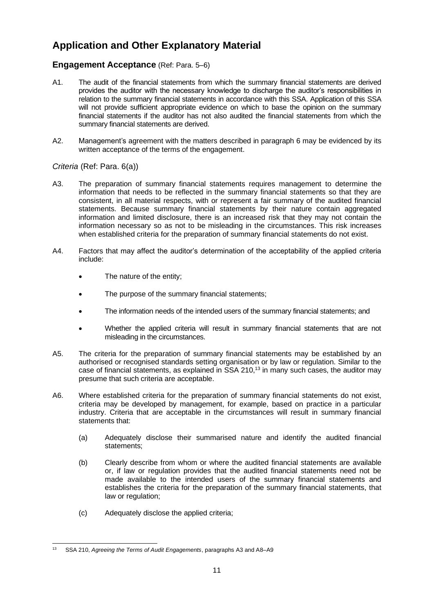# **Application and Other Explanatory Material**

# **Engagement Acceptance** (Ref: Para. 5–6)

- A1. The audit of the financial statements from which the summary financial statements are derived provides the auditor with the necessary knowledge to discharge the auditor's responsibilities in relation to the summary financial statements in accordance with this SSA. Application of this SSA will not provide sufficient appropriate evidence on which to base the opinion on the summary financial statements if the auditor has not also audited the financial statements from which the summary financial statements are derived.
- A2. Management's agreement with the matters described in paragraph 6 may be evidenced by its written acceptance of the terms of the engagement.

#### *Criteria* (Ref: Para. 6(a))

- A3. The preparation of summary financial statements requires management to determine the information that needs to be reflected in the summary financial statements so that they are consistent, in all material respects, with or represent a fair summary of the audited financial statements. Because summary financial statements by their nature contain aggregated information and limited disclosure, there is an increased risk that they may not contain the information necessary so as not to be misleading in the circumstances. This risk increases when established criteria for the preparation of summary financial statements do not exist.
- A4. Factors that may affect the auditor's determination of the acceptability of the applied criteria include:
	- The nature of the entity;
	- The purpose of the summary financial statements;
	- The information needs of the intended users of the summary financial statements; and
	- Whether the applied criteria will result in summary financial statements that are not misleading in the circumstances.
- A5. The criteria for the preparation of summary financial statements may be established by an authorised or recognised standards setting organisation or by law or regulation. Similar to the case of financial statements, as explained in SSA 210,<sup>13</sup> in many such cases, the auditor may presume that such criteria are acceptable.
- A6. Where established criteria for the preparation of summary financial statements do not exist, criteria may be developed by management, for example, based on practice in a particular industry. Criteria that are acceptable in the circumstances will result in summary financial statements that:
	- (a) Adequately disclose their summarised nature and identify the audited financial statements;
	- (b) Clearly describe from whom or where the audited financial statements are available or, if law or regulation provides that the audited financial statements need not be made available to the intended users of the summary financial statements and establishes the criteria for the preparation of the summary financial statements, that law or regulation;
	- (c) Adequately disclose the applied criteria;

<sup>13</sup> SSA 210, *Agreeing the Terms of Audit Engagements*, paragraphs A3 and A8–A9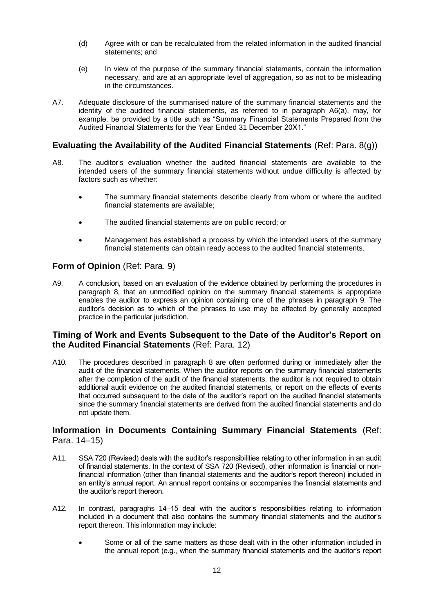- (d) Agree with or can be recalculated from the related information in the audited financial statements; and
- (e) In view of the purpose of the summary financial statements, contain the information necessary, and are at an appropriate level of aggregation, so as not to be misleading in the circumstances.
- A7. Adequate disclosure of the summarised nature of the summary financial statements and the identity of the audited financial statements, as referred to in paragraph A6(a), may, for example, be provided by a title such as "Summary Financial Statements Prepared from the Audited Financial Statements for the Year Ended 31 December 20X1."

# **Evaluating the Availability of the Audited Financial Statements** (Ref: Para. 8(g))

- A8. The auditor's evaluation whether the audited financial statements are available to the intended users of the summary financial statements without undue difficulty is affected by factors such as whether:
	- The summary financial statements describe clearly from whom or where the audited financial statements are available;
	- The audited financial statements are on public record; or
	- Management has established a process by which the intended users of the summary financial statements can obtain ready access to the audited financial statements.

# **Form of Opinion** (Ref: Para. 9)

A9. A conclusion, based on an evaluation of the evidence obtained by performing the procedures in paragraph 8, that an unmodified opinion on the summary financial statements is appropriate enables the auditor to express an opinion containing one of the phrases in paragraph 9. The auditor's decision as to which of the phrases to use may be affected by generally accepted practice in the particular jurisdiction.

### **Timing of Work and Events Subsequent to the Date of the Auditor's Report on the Audited Financial Statements** (Ref: Para. 12)

A10. The procedures described in paragraph 8 are often performed during or immediately after the audit of the financial statements. When the auditor reports on the summary financial statements after the completion of the audit of the financial statements, the auditor is not required to obtain additional audit evidence on the audited financial statements, or report on the effects of events that occurred subsequent to the date of the auditor's report on the audited financial statements since the summary financial statements are derived from the audited financial statements and do not update them.

### **Information in Documents Containing Summary Financial Statements** (Ref: Para. 14–15)

- A11. SSA 720 (Revised) deals with the auditor's responsibilities relating to other information in an audit of financial statements. In the context of SSA 720 (Revised), other information is financial or nonfinancial information (other than financial statements and the auditor's report thereon) included in an entity's annual report. An annual report contains or accompanies the financial statements and the auditor's report thereon.
- A12. In contrast, paragraphs 14–15 deal with the auditor's responsibilities relating to information included in a document that also contains the summary financial statements and the auditor's report thereon. This information may include:
	- Some or all of the same matters as those dealt with in the other information included in the annual report (e.g., when the summary financial statements and the auditor's report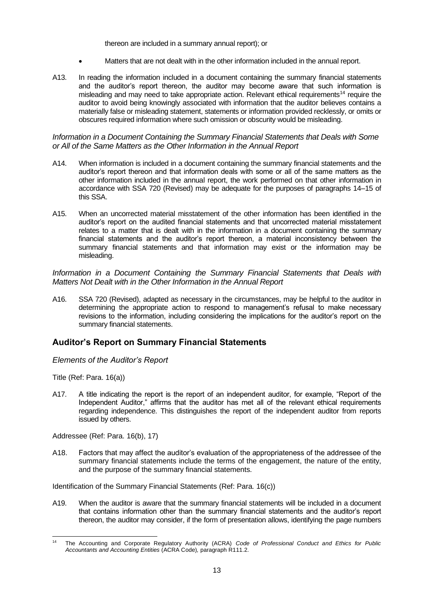thereon are included in a summary annual report); or

- Matters that are not dealt with in the other information included in the annual report.
- A13. In reading the information included in a document containing the summary financial statements and the auditor's report thereon, the auditor may become aware that such information is misleading and may need to take appropriate action. Relevant ethical requirements<sup>14</sup> require the auditor to avoid being knowingly associated with information that the auditor believes contains a materially false or misleading statement, statements or information provided recklessly, or omits or obscures required information where such omission or obscurity would be misleading.

#### *Information in a Document Containing the Summary Financial Statements that Deals with Some or All of the Same Matters as the Other Information in the Annual Report*

- A14. When information is included in a document containing the summary financial statements and the auditor's report thereon and that information deals with some or all of the same matters as the other information included in the annual report, the work performed on that other information in accordance with SSA 720 (Revised) may be adequate for the purposes of paragraphs 14–15 of this SSA.
- A15. When an uncorrected material misstatement of the other information has been identified in the auditor's report on the audited financial statements and that uncorrected material misstatement relates to a matter that is dealt with in the information in a document containing the summary financial statements and the auditor's report thereon, a material inconsistency between the summary financial statements and that information may exist or the information may be misleading.

*Information in a Document Containing the Summary Financial Statements that Deals with Matters Not Dealt with in the Other Information in the Annual Report*

A16. SSA 720 (Revised), adapted as necessary in the circumstances, may be helpful to the auditor in determining the appropriate action to respond to management's refusal to make necessary revisions to the information, including considering the implications for the auditor's report on the summary financial statements.

# **Auditor's Report on Summary Financial Statements**

*Elements of the Auditor's Report*

Title (Ref: Para. 16(a))

A17. A title indicating the report is the report of an independent auditor, for example, "Report of the Independent Auditor," affirms that the auditor has met all of the relevant ethical requirements regarding independence. This distinguishes the report of the independent auditor from reports issued by others.

Addressee (Ref: Para. 16(b), 17)

A18. Factors that may affect the auditor's evaluation of the appropriateness of the addressee of the summary financial statements include the terms of the engagement, the nature of the entity, and the purpose of the summary financial statements.

Identification of the Summary Financial Statements (Ref: Para. 16(c))

A19. When the auditor is aware that the summary financial statements will be included in a document that contains information other than the summary financial statements and the auditor's report thereon, the auditor may consider, if the form of presentation allows, identifying the page numbers

<sup>14</sup> The Accounting and Corporate Regulatory Authority (ACRA) *Code of Professional Conduct and Ethics for Public Accountants and Accounting Entities* (ACRA Code)*,* paragraph R111.2.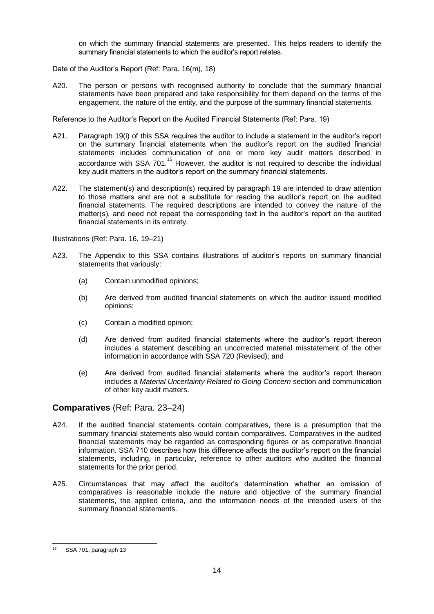on which the summary financial statements are presented. This helps readers to identify the summary financial statements to which the auditor's report relates.

Date of the Auditor's Report (Ref: Para. 16(m), 18)

A20. The person or persons with recognised authority to conclude that the summary financial statements have been prepared and take responsibility for them depend on the terms of the engagement, the nature of the entity, and the purpose of the summary financial statements.

Reference to the Auditor's Report on the Audited Financial Statements (Ref: Para. 19)

- A21. Paragraph 19(i) of this SSA requires the auditor to include a statement in the auditor's report on the summary financial statements when the auditor's report on the audited financial statements includes communication of one or more key audit matters described in accordance with SSA  $701$ <sup>15</sup> However, the auditor is not required to describe the individual key audit matters in the auditor's report on the summary financial statements.
- A22. The statement(s) and description(s) required by paragraph 19 are intended to draw attention to those matters and are not a substitute for reading the auditor's report on the audited financial statements. The required descriptions are intended to convey the nature of the matter(s), and need not repeat the corresponding text in the auditor's report on the audited financial statements in its entirety.

Illustrations (Ref: Para. 16, 19–21)

- A23. The Appendix to this SSA contains illustrations of auditor's reports on summary financial statements that variously:
	- (a) Contain unmodified opinions;
	- (b) Are derived from audited financial statements on which the auditor issued modified opinions;
	- (c) Contain a modified opinion;
	- (d) Are derived from audited financial statements where the auditor's report thereon includes a statement describing an uncorrected material misstatement of the other information in accordance with SSA 720 (Revised); and
	- (e) Are derived from audited financial statements where the auditor's report thereon includes a *Material Uncertainty Related to Going Concern* section and communication of other key audit matters.

# **Comparatives** (Ref: Para. 23–24)

- A24. If the audited financial statements contain comparatives, there is a presumption that the summary financial statements also would contain comparatives. Comparatives in the audited financial statements may be regarded as corresponding figures or as comparative financial information. SSA 710 describes how this difference affects the auditor's report on the financial statements, including, in particular, reference to other auditors who audited the financial statements for the prior period.
- A25. Circumstances that may affect the auditor's determination whether an omission of comparatives is reasonable include the nature and objective of the summary financial statements, the applied criteria, and the information needs of the intended users of the summary financial statements.

<sup>15</sup> SSA 701, paragraph 13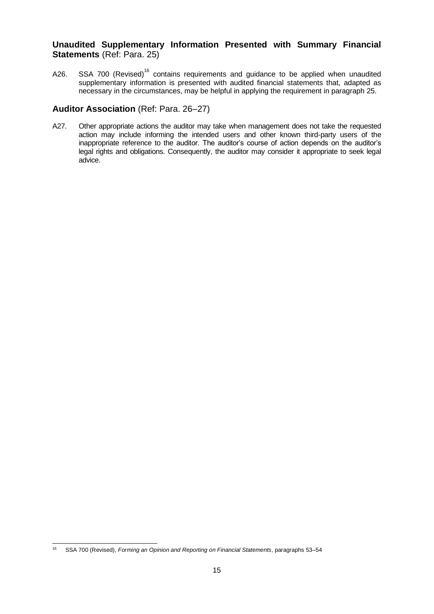# **Unaudited Supplementary Information Presented with Summary Financial Statements** (Ref: Para. 25)

A26. SSA 700 (Revised)<sup>16</sup> contains requirements and guidance to be applied when unaudited supplementary information is presented with audited financial statements that, adapted as necessary in the circumstances, may be helpful in applying the requirement in paragraph 25.

# **Auditor Association** (Ref: Para. 26–27)

A27. Other appropriate actions the auditor may take when management does not take the requested action may include informing the intended users and other known third-party users of the inappropriate reference to the auditor. The auditor's course of action depends on the auditor's legal rights and obligations. Consequently, the auditor may consider it appropriate to seek legal advice.

<sup>16</sup> SSA 700 (Revised), *Forming an Opinion and Reporting on Financial Statements*, paragraphs 53–54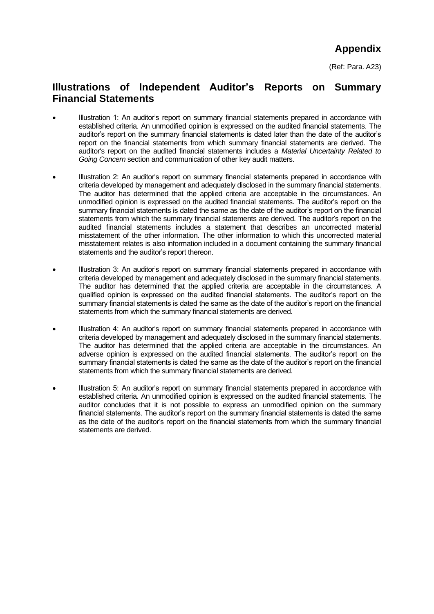(Ref: Para. A23)

# **Illustrations of Independent Auditor's Reports on Summary Financial Statements**

- Illustration 1: An auditor's report on summary financial statements prepared in accordance with established criteria. An unmodified opinion is expressed on the audited financial statements. The auditor's report on the summary financial statements is dated later than the date of the auditor's report on the financial statements from which summary financial statements are derived. The auditor's report on the audited financial statements includes a *Material Uncertainty Related to Going Concern* section and communication of other key audit matters.
- Illustration 2: An auditor's report on summary financial statements prepared in accordance with criteria developed by management and adequately disclosed in the summary financial statements. The auditor has determined that the applied criteria are acceptable in the circumstances. An unmodified opinion is expressed on the audited financial statements. The auditor's report on the summary financial statements is dated the same as the date of the auditor's report on the financial statements from which the summary financial statements are derived. The auditor's report on the audited financial statements includes a statement that describes an uncorrected material misstatement of the other information. The other information to which this uncorrected material misstatement relates is also information included in a document containing the summary financial statements and the auditor's report thereon.
- Illustration 3: An auditor's report on summary financial statements prepared in accordance with criteria developed by management and adequately disclosed in the summary financial statements. The auditor has determined that the applied criteria are acceptable in the circumstances. A qualified opinion is expressed on the audited financial statements. The auditor's report on the summary financial statements is dated the same as the date of the auditor's report on the financial statements from which the summary financial statements are derived.
- Illustration 4: An auditor's report on summary financial statements prepared in accordance with criteria developed by management and adequately disclosed in the summary financial statements. The auditor has determined that the applied criteria are acceptable in the circumstances. An adverse opinion is expressed on the audited financial statements. The auditor's report on the summary financial statements is dated the same as the date of the auditor's report on the financial statements from which the summary financial statements are derived.
- Illustration 5: An auditor's report on summary financial statements prepared in accordance with established criteria. An unmodified opinion is expressed on the audited financial statements. The auditor concludes that it is not possible to express an unmodified opinion on the summary financial statements. The auditor's report on the summary financial statements is dated the same as the date of the auditor's report on the financial statements from which the summary financial statements are derived.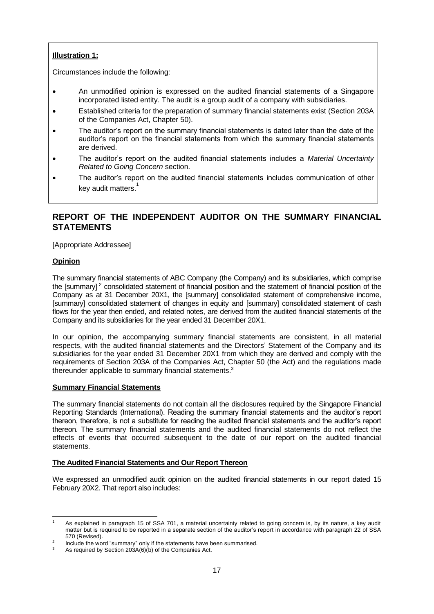#### **Illustration 1:**

Circumstances include the following:

- An unmodified opinion is expressed on the audited financial statements of a Singapore incorporated listed entity. The audit is a group audit of a company with subsidiaries.
- Established criteria for the preparation of summary financial statements exist (Section 203A of the Companies Act, Chapter 50).
- The auditor's report on the summary financial statements is dated later than the date of the auditor's report on the financial statements from which the summary financial statements are derived.
- The auditor's report on the audited financial statements includes a *Material Uncertainty Related to Going Concern* section.
- The auditor's report on the audited financial statements includes communication of other key audit matters.<sup>1</sup>

# **REPORT OF THE INDEPENDENT AUDITOR ON THE SUMMARY FINANCIAL STATEMENTS**

[Appropriate Addressee]

#### **Opinion**

The summary financial statements of ABC Company (the Company) and its subsidiaries, which comprise the [summary]<sup>2</sup> consolidated statement of financial position and the statement of financial position of the Company as at 31 December 20X1, the [summary] consolidated statement of comprehensive income, [summary] consolidated statement of changes in equity and [summary] consolidated statement of cash flows for the year then ended, and related notes, are derived from the audited financial statements of the Company and its subsidiaries for the year ended 31 December 20X1.

In our opinion, the accompanying summary financial statements are consistent, in all material respects, with the audited financial statements and the Directors' Statement of the Company and its subsidiaries for the year ended 31 December 20X1 from which they are derived and comply with the requirements of Section 203A of the Companies Act, Chapter 50 (the Act) and the regulations made thereunder applicable to summary financial statements.<sup>3</sup>

#### **Summary Financial Statements**

The summary financial statements do not contain all the disclosures required by the Singapore Financial Reporting Standards (International). Reading the summary financial statements and the auditor's report thereon, therefore, is not a substitute for reading the audited financial statements and the auditor's report thereon. The summary financial statements and the audited financial statements do not reflect the effects of events that occurred subsequent to the date of our report on the audited financial statements.

#### **The Audited Financial Statements and Our Report Thereon**

We expressed an unmodified audit opinion on the audited financial statements in our report dated 15 February 20X2. That report also includes:

As explained in paragraph 15 of SSA 701, a material uncertainty related to going concern is, by its nature, a key audit matter but is required to be reported in a separate section of the auditor's report in accordance with paragraph 22 of SSA 570 (Revised).

 $\overline{2}$ Include the word "summary" only if the statements have been summarised.

As required by Section 203A(6)(b) of the Companies Act.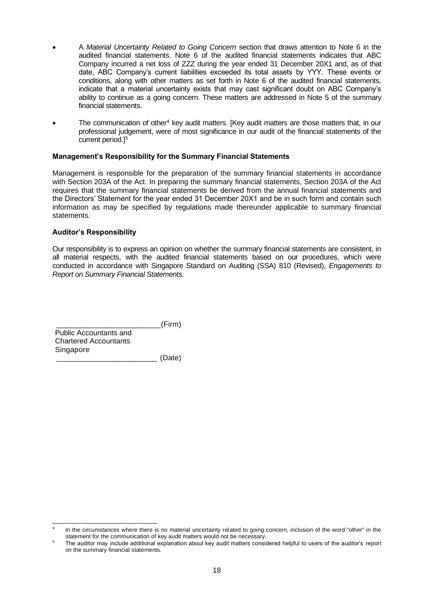- A *Material Uncertainty Related to Going Concern* section that draws attention to Note 6 in the audited financial statements. Note 6 of the audited financial statements indicates that ABC Company incurred a net loss of ZZZ during the year ended 31 December 20X1 and, as of that date, ABC Company's current liabilities exceeded its total assets by YYY. These events or conditions, along with other matters as set forth in Note 6 of the audited financial statements, indicate that a material uncertainty exists that may cast significant doubt on ABC Company's ability to continue as a going concern. These matters are addressed in Note 5 of the summary financial statements.
- The communication of other<sup>4</sup> key audit matters. [Key audit matters are those matters that, in our professional judgement, were of most significance in our audit of the financial statements of the current period.<sup>15</sup>

#### **Management's Responsibility for the Summary Financial Statements**

Management is responsible for the preparation of the summary financial statements in accordance with Section 203A of the Act. In preparing the summary financial statements, Section 203A of the Act requires that the summary financial statements be derived from the annual financial statements and the Directors' Statement for the year ended 31 December 20X1 and be in such form and contain such information as may be specified by regulations made thereunder applicable to summary financial statements.

#### **Auditor's Responsibility**

Our responsibility is to express an opinion on whether the summary financial statements are consistent, in all material respects, with the audited financial statements based on our procedures, which were conducted in accordance with Singapore Standard on Auditing (SSA) 810 (Revised), *Engagements to Report on Summary Financial Statements*.

 $(Firm)$ 

Public Accountants and Chartered Accountants Singapore

\_\_\_\_\_\_\_\_\_\_\_\_\_\_\_\_\_\_\_\_\_\_\_\_\_ (Date)

<sup>4</sup> In the circumstances where there is no material uncertainty related to going concern, inclusion of the word "other" in the statement for the communication of key audit matters would not be necessary.

<sup>&</sup>lt;sup>5</sup> The auditor may include additional explanation about key audit matters considered helpful to users of the auditor's report on the summary financial statements.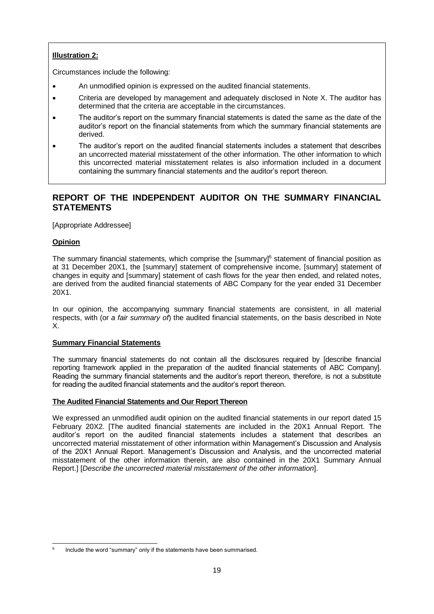### **Illustration 2:**

Circumstances include the following:

- An unmodified opinion is expressed on the audited financial statements.
- Criteria are developed by management and adequately disclosed in Note X. The auditor has determined that the criteria are acceptable in the circumstances.
- The auditor's report on the summary financial statements is dated the same as the date of the auditor's report on the financial statements from which the summary financial statements are derived.
- The auditor's report on the audited financial statements includes a statement that describes an uncorrected material misstatement of the other information. The other information to which this uncorrected material misstatement relates is also information included in a document containing the summary financial statements and the auditor's report thereon.

# **REPORT OF THE INDEPENDENT AUDITOR ON THE SUMMARY FINANCIAL STATEMENTS**

[Appropriate Addressee]

### **Opinion**

The summary financial statements, which comprise the [summary]<sup>6</sup> statement of financial position as at 31 December 20X1, the [summary] statement of comprehensive income, [summary] statement of changes in equity and [summary] statement of cash flows for the year then ended, and related notes, are derived from the audited financial statements of ABC Company for the year ended 31 December 20X1.

In our opinion, the accompanying summary financial statements are consistent, in all material respects, with (or *a fair summary of*) the audited financial statements, on the basis described in Note X.

#### **Summary Financial Statements**

The summary financial statements do not contain all the disclosures required by [describe financial reporting framework applied in the preparation of the audited financial statements of ABC Company]. Reading the summary financial statements and the auditor's report thereon, therefore, is not a substitute for reading the audited financial statements and the auditor's report thereon.

#### **The Audited Financial Statements and Our Report Thereon**

We expressed an unmodified audit opinion on the audited financial statements in our report dated 15 February 20X2. [The audited financial statements are included in the 20X1 Annual Report. The auditor's report on the audited financial statements includes a statement that describes an uncorrected material misstatement of other information within Management's Discussion and Analysis of the 20X1 Annual Report. Management's Discussion and Analysis, and the uncorrected material misstatement of the other information therein, are also contained in the 20X1 Summary Annual Report.] [*Describe the uncorrected material misstatement of the other information*].

<sup>6</sup> Include the word "summary" only if the statements have been summarised.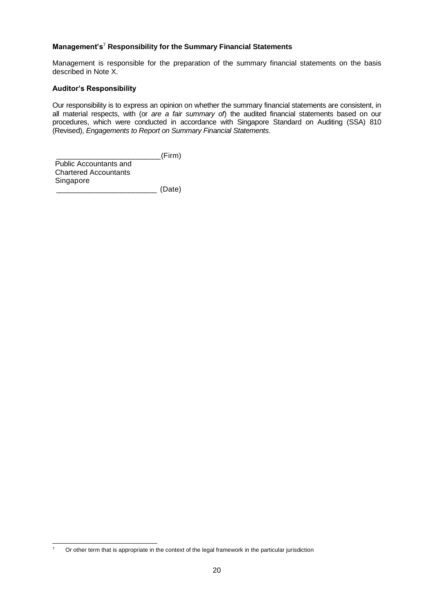#### **Management's**<sup>7</sup> **Responsibility for the Summary Financial Statements**

Management is responsible for the preparation of the summary financial statements on the basis described in Note X.

#### **Auditor's Responsibility**

Our responsibility is to express an opinion on whether the summary financial statements are consistent, in all material respects, with (or *are a fair summary of*) the audited financial statements based on our procedures, which were conducted in accordance with Singapore Standard on Auditing (SSA) 810 (Revised), *Engagements to Report on Summary Financial Statements*.

 $\sqrt{2}$  (Firm)

Public Accountants and Chartered Accountants Singapore

\_\_\_\_\_\_\_\_\_\_\_\_\_\_\_\_\_\_\_\_\_\_\_\_\_ (Date)

<sup>&</sup>lt;sup>7</sup> Or other term that is appropriate in the context of the legal framework in the particular jurisdiction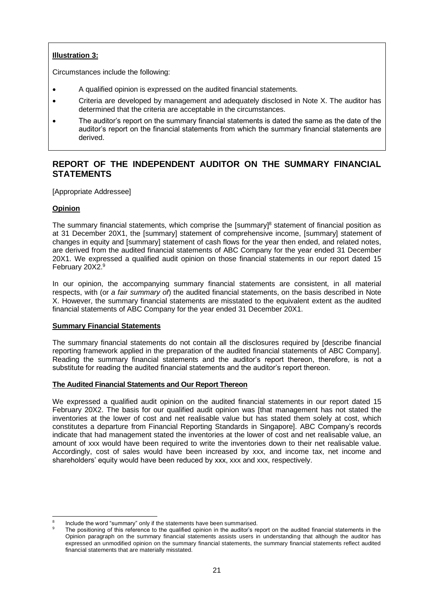#### **Illustration 3:**

Circumstances include the following:

- A qualified opinion is expressed on the audited financial statements.
- Criteria are developed by management and adequately disclosed in Note X. The auditor has determined that the criteria are acceptable in the circumstances.
- The auditor's report on the summary financial statements is dated the same as the date of the auditor's report on the financial statements from which the summary financial statements are derived.

# **REPORT OF THE INDEPENDENT AUDITOR ON THE SUMMARY FINANCIAL STATEMENTS**

[Appropriate Addressee]

### **Opinion**

The summary financial statements, which comprise the [summary]<sup>8</sup> statement of financial position as at 31 December 20X1, the [summary] statement of comprehensive income, [summary] statement of changes in equity and [summary] statement of cash flows for the year then ended, and related notes, are derived from the audited financial statements of ABC Company for the year ended 31 December 20X1. We expressed a qualified audit opinion on those financial statements in our report dated 15 February 20X2.<sup>9</sup>

In our opinion, the accompanying summary financial statements are consistent, in all material respects, with (or *a fair summary of*) the audited financial statements, on the basis described in Note X. However, the summary financial statements are misstated to the equivalent extent as the audited financial statements of ABC Company for the year ended 31 December 20X1.

#### **Summary Financial Statements**

The summary financial statements do not contain all the disclosures required by [describe financial reporting framework applied in the preparation of the audited financial statements of ABC Company]. Reading the summary financial statements and the auditor's report thereon, therefore, is not a substitute for reading the audited financial statements and the auditor's report thereon.

#### **The Audited Financial Statements and Our Report Thereon**

We expressed a qualified audit opinion on the audited financial statements in our report dated 15 February 20X2. The basis for our qualified audit opinion was [that management has not stated the inventories at the lower of cost and net realisable value but has stated them solely at cost, which constitutes a departure from Financial Reporting Standards in Singapore]. ABC Company's records indicate that had management stated the inventories at the lower of cost and net realisable value, an amount of xxx would have been required to write the inventories down to their net realisable value. Accordingly, cost of sales would have been increased by xxx, and income tax, net income and shareholders' equity would have been reduced by xxx, xxx and xxx, respectively.

<sup>8</sup> Include the word "summary" only if the statements have been summarised.

The positioning of this reference to the qualified opinion in the auditor's report on the audited financial statements in the Opinion paragraph on the summary financial statements assists users in understanding that although the auditor has expressed an unmodified opinion on the summary financial statements, the summary financial statements reflect audited financial statements that are materially misstated.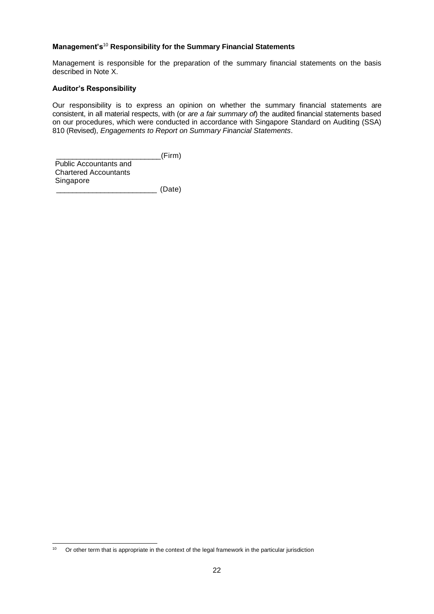# **Management's**<sup>10</sup> **Responsibility for the Summary Financial Statements**

Management is responsible for the preparation of the summary financial statements on the basis described in Note X.

#### **Auditor's Responsibility**

Our responsibility is to express an opinion on whether the summary financial statements are consistent, in all material respects, with (or *are a fair summary of*) the audited financial statements based on our procedures, which were conducted in accordance with Singapore Standard on Auditing (SSA) 810 (Revised), *Engagements to Report on Summary Financial Statements*.

 $\sqrt{2}$  (Firm)

Public Accountants and Chartered Accountants Singapore

\_\_\_\_\_\_\_\_\_\_\_\_\_\_\_\_\_\_\_\_\_\_\_\_\_ (Date)

<sup>&</sup>lt;sup>10</sup> Or other term that is appropriate in the context of the legal framework in the particular jurisdiction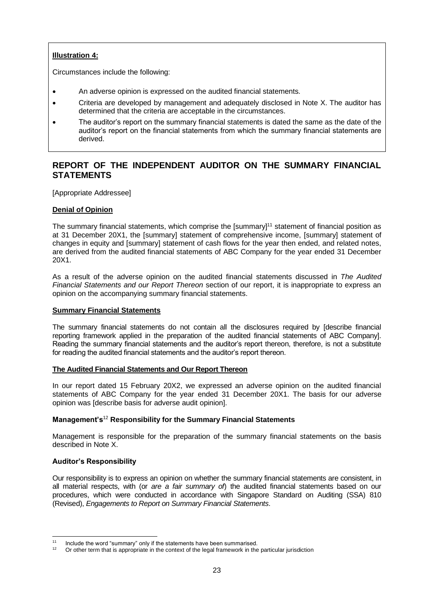#### **Illustration 4:**

Circumstances include the following:

- An adverse opinion is expressed on the audited financial statements.
- Criteria are developed by management and adequately disclosed in Note X. The auditor has determined that the criteria are acceptable in the circumstances.
- The auditor's report on the summary financial statements is dated the same as the date of the auditor's report on the financial statements from which the summary financial statements are derived.

# **REPORT OF THE INDEPENDENT AUDITOR ON THE SUMMARY FINANCIAL STATEMENTS**

[Appropriate Addressee]

#### **Denial of Opinion**

The summary financial statements, which comprise the [summary]<sup>11</sup> statement of financial position as at 31 December 20X1, the [summary] statement of comprehensive income, [summary] statement of changes in equity and [summary] statement of cash flows for the year then ended, and related notes, are derived from the audited financial statements of ABC Company for the year ended 31 December 20X1.

As a result of the adverse opinion on the audited financial statements discussed in *The Audited Financial Statements and our Report Thereon* section of our report, it is inappropriate to express an opinion on the accompanying summary financial statements.

#### **Summary Financial Statements**

The summary financial statements do not contain all the disclosures required by [describe financial reporting framework applied in the preparation of the audited financial statements of ABC Company]. Reading the summary financial statements and the auditor's report thereon, therefore, is not a substitute for reading the audited financial statements and the auditor's report thereon.

#### **The Audited Financial Statements and Our Report Thereon**

In our report dated 15 February 20X2, we expressed an adverse opinion on the audited financial statements of ABC Company for the year ended 31 December 20X1. The basis for our adverse opinion was [describe basis for adverse audit opinion].

#### **Management's**<sup>12</sup> **Responsibility for the Summary Financial Statements**

Management is responsible for the preparation of the summary financial statements on the basis described in Note X.

#### **Auditor's Responsibility**

Our responsibility is to express an opinion on whether the summary financial statements are consistent, in all material respects, with (or *are a fair summary of*) the audited financial statements based on our procedures, which were conducted in accordance with Singapore Standard on Auditing (SSA) 810 (Revised), *Engagements to Report on Summary Financial Statements*.

<sup>&</sup>lt;sup>11</sup> Include the word "summary" only if the statements have been summarised.<br><sup>12</sup> Or other term that is appropriate in the context of the legal framework in the

Or other term that is appropriate in the context of the legal framework in the particular jurisdiction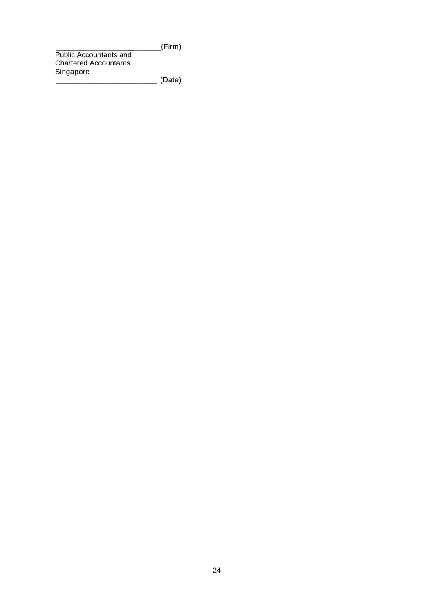\_\_\_\_\_\_\_\_\_\_\_\_\_\_\_\_\_\_\_\_\_\_\_\_\_\_(Firm)

Public Accountants and Chartered Accountants Singapore \_\_\_\_\_\_\_\_\_\_\_\_\_\_\_\_\_\_\_\_\_\_\_\_\_ (Date)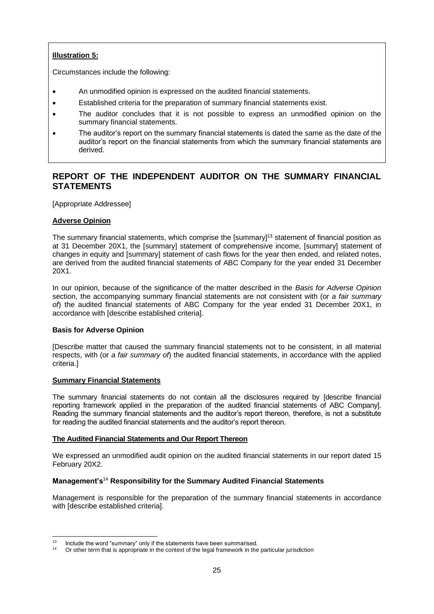#### **Illustration 5:**

Circumstances include the following:

- An unmodified opinion is expressed on the audited financial statements.
- Established criteria for the preparation of summary financial statements exist.
- The auditor concludes that it is not possible to express an unmodified opinion on the summary financial statements.
- The auditor's report on the summary financial statements is dated the same as the date of the auditor's report on the financial statements from which the summary financial statements are derived.

# **REPORT OF THE INDEPENDENT AUDITOR ON THE SUMMARY FINANCIAL STATEMENTS**

[Appropriate Addressee]

#### **Adverse Opinion**

The summary financial statements, which comprise the [summary]<sup>13</sup> statement of financial position as at 31 December 20X1, the [summary] statement of comprehensive income, [summary] statement of changes in equity and [summary] statement of cash flows for the year then ended, and related notes, are derived from the audited financial statements of ABC Company for the year ended 31 December 20X1.

In our opinion, because of the significance of the matter described in the *Basis for Adverse Opinion* section, the accompanying summary financial statements are not consistent with (or *a fair summary of*) the audited financial statements of ABC Company for the year ended 31 December 20X1, in accordance with [describe established criteria].

#### **Basis for Adverse Opinion**

[Describe matter that caused the summary financial statements not to be consistent, in all material respects, with (or *a fair summary of*) the audited financial statements, in accordance with the applied criteria.]

#### **Summary Financial Statements**

The summary financial statements do not contain all the disclosures required by [describe financial reporting framework applied in the preparation of the audited financial statements of ABC Company]. Reading the summary financial statements and the auditor's report thereon, therefore, is not a substitute for reading the audited financial statements and the auditor's report thereon.

#### **The Audited Financial Statements and Our Report Thereon**

We expressed an unmodified audit opinion on the audited financial statements in our report dated 15 February 20X2.

#### **Management's**<sup>14</sup> **Responsibility for the Summary Audited Financial Statements**

Management is responsible for the preparation of the summary financial statements in accordance with [describe established criteria].

<sup>13</sup> Include the word "summary" only if the statements have been summarised.<br>14 Or other term that is appropriate in the context of the local framework in the

Or other term that is appropriate in the context of the legal framework in the particular jurisdiction